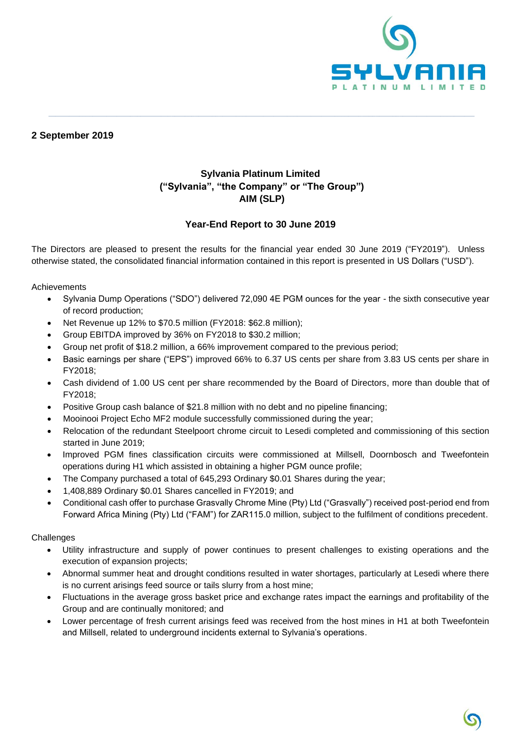

# **2 September 2019**

# **Sylvania Platinum Limited ("Sylvania", "the Company" or "The Group") AIM (SLP)**

**\_\_\_\_\_\_\_\_\_\_\_\_\_\_\_\_\_\_\_\_\_\_\_\_\_\_\_\_\_\_\_\_\_\_\_\_\_\_\_\_\_\_\_\_\_\_\_\_\_\_\_\_\_\_\_\_\_\_\_\_\_\_\_\_\_\_\_\_\_\_\_\_\_\_\_\_\_\_\_\_\_\_\_\_\_\_\_\_\_\_\_\_\_\_\_\_\_\_\_\_\_\_\_\_\_\_\_\_\_\_\_\_\_\_\_\_\_\_\_\_\_\_\_\_\_**

# **Year-End Report to 30 June 2019**

The Directors are pleased to present the results for the financial year ended 30 June 2019 ("FY2019"). Unless otherwise stated, the consolidated financial information contained in this report is presented in US Dollars ("USD").

Achievements

- Sylvania Dump Operations ("SDO") delivered 72,090 4E PGM ounces for the year the sixth consecutive year of record production;
- Net Revenue up 12% to \$70.5 million (FY2018: \$62.8 million);
- Group EBITDA improved by 36% on FY2018 to \$30.2 million;
- Group net profit of \$18.2 million, a 66% improvement compared to the previous period;
- Basic earnings per share ("EPS") improved 66% to 6.37 US cents per share from 3.83 US cents per share in FY2018;
- Cash dividend of 1.00 US cent per share recommended by the Board of Directors, more than double that of FY2018;
- Positive Group cash balance of \$21.8 million with no debt and no pipeline financing;
- Mooinooi Project Echo MF2 module successfully commissioned during the year;
- Relocation of the redundant Steelpoort chrome circuit to Lesedi completed and commissioning of this section started in June 2019;
- Improved PGM fines classification circuits were commissioned at Millsell, Doornbosch and Tweefontein operations during H1 which assisted in obtaining a higher PGM ounce profile;
- The Company purchased a total of 645,293 Ordinary \$0.01 Shares during the year;
- 1,408,889 Ordinary \$0.01 Shares cancelled in FY2019; and
- Conditional cash offer to purchase Grasvally Chrome Mine (Pty) Ltd ("Grasvally") received post-period end from Forward Africa Mining (Pty) Ltd ("FAM") for ZAR115.0 million, subject to the fulfilment of conditions precedent.

**Challenges** 

- Utility infrastructure and supply of power continues to present challenges to existing operations and the execution of expansion projects;
- Abnormal summer heat and drought conditions resulted in water shortages, particularly at Lesedi where there is no current arisings feed source or tails slurry from a host mine;
- Fluctuations in the average gross basket price and exchange rates impact the earnings and profitability of the Group and are continually monitored; and
- Lower percentage of fresh current arisings feed was received from the host mines in H1 at both Tweefontein and Millsell, related to underground incidents external to Sylvania's operations.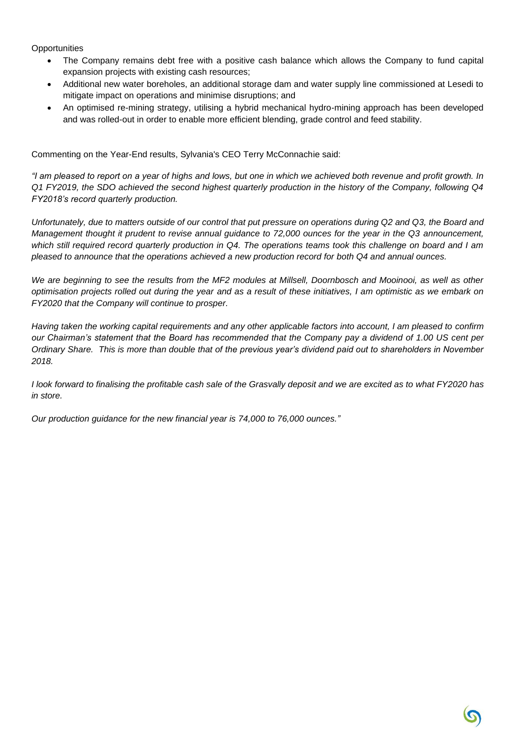**Opportunities** 

- The Company remains debt free with a positive cash balance which allows the Company to fund capital expansion projects with existing cash resources;
- Additional new water boreholes, an additional storage dam and water supply line commissioned at Lesedi to mitigate impact on operations and minimise disruptions; and
- An optimised re-mining strategy, utilising a hybrid mechanical hydro-mining approach has been developed and was rolled-out in order to enable more efficient blending, grade control and feed stability.

Commenting on the Year-End results, Sylvania's CEO Terry McConnachie said:

*"I am pleased to report on a year of highs and lows, but one in which we achieved both revenue and profit growth. In Q1 FY2019, the SDO achieved the second highest quarterly production in the history of the Company, following Q4 FY2018's record quarterly production.*

*Unfortunately, due to matters outside of our control that put pressure on operations during Q2 and Q3, the Board and Management thought it prudent to revise annual guidance to 72,000 ounces for the year in the Q3 announcement, which still required record quarterly production in Q4. The operations teams took this challenge on board and I am pleased to announce that the operations achieved a new production record for both Q4 and annual ounces.* 

*We are beginning to see the results from the MF2 modules at Millsell, Doornbosch and Mooinooi, as well as other optimisation projects rolled out during the year and as a result of these initiatives, I am optimistic as we embark on FY2020 that the Company will continue to prosper.*

*Having taken the working capital requirements and any other applicable factors into account, I am pleased to confirm our Chairman's statement that the Board has recommended that the Company pay a dividend of 1.00 US cent per Ordinary Share. This is more than double that of the previous year's dividend paid out to shareholders in November 2018.* 

*I look forward to finalising the profitable cash sale of the Grasvally deposit and we are excited as to what FY2020 has in store.*

*Our production guidance for the new financial year is 74,000 to 76,000 ounces."*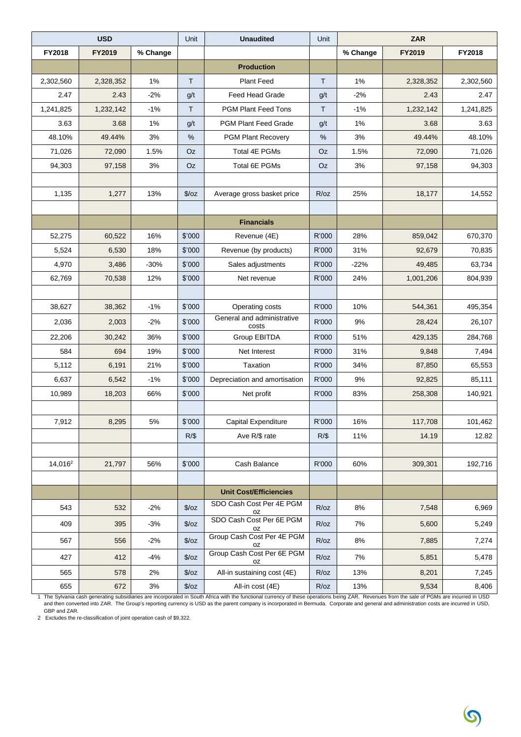|                     | <b>USD</b> |          | Unit          | <b>Unaudited</b>                    | Unit   | <b>ZAR</b> |           |           |
|---------------------|------------|----------|---------------|-------------------------------------|--------|------------|-----------|-----------|
| FY2018              | FY2019     | % Change |               |                                     |        | % Change   | FY2019    | FY2018    |
|                     |            |          |               | <b>Production</b>                   |        |            |           |           |
| 2,302,560           | 2,328,352  | 1%       | T             | <b>Plant Feed</b>                   | T.     | 1%         | 2,328,352 | 2,302,560 |
| 2.47                | 2.43       | $-2%$    | g/t           | Feed Head Grade                     | g/t    | $-2%$      | 2.43      | 2.47      |
| 1,241,825           | 1,232,142  | $-1%$    | T             | <b>PGM Plant Feed Tons</b>          | т      | $-1%$      | 1,232,142 | 1,241,825 |
| 3.63                | 3.68       | $1\%$    | g/t           | PGM Plant Feed Grade                | g/t    | 1%         | 3.68      | 3.63      |
| 48.10%              | 49.44%     | 3%       | %             | <b>PGM Plant Recovery</b>           | %      | 3%         | 49.44%    | 48.10%    |
| 71,026              | 72,090     | 1.5%     | Oz            | Total 4E PGMs                       | Oz     | 1.5%       | 72,090    | 71,026    |
| 94,303              | 97,158     | 3%       | Oz            | Total 6E PGMs                       | Oz     | 3%         | 97,158    | 94,303    |
|                     |            |          |               |                                     |        |            |           |           |
| 1,135               | 1,277      | 13%      | $\sqrt{2}/oz$ | Average gross basket price          | R/oz   | 25%        | 18,177    | 14,552    |
|                     |            |          |               |                                     |        |            |           |           |
|                     |            |          |               | <b>Financials</b>                   |        |            |           |           |
| 52,275              | 60,522     | 16%      | \$'000        | Revenue (4E)                        | R'000  | 28%        | 859,042   | 670,370   |
| 5,524               | 6,530      | 18%      | \$'000        | Revenue (by products)               | R'000  | 31%        | 92,679    | 70,835    |
| 4,970               | 3,486      | $-30%$   | \$'000        | Sales adjustments                   | R'000  | $-22%$     | 49,485    | 63,734    |
| 62,769              | 70,538     | 12%      | \$'000        | Net revenue                         | R'000  | 24%        | 1,001,206 | 804,939   |
|                     |            |          |               |                                     |        |            |           |           |
| 38,627              | 38,362     | $-1%$    | \$'000        | Operating costs                     | R'000  | 10%        | 544,361   | 495,354   |
| 2,036               | 2,003      | $-2%$    | \$'000        | General and administrative<br>costs | R'000  | 9%         | 28,424    | 26,107    |
| 22,206              | 30,242     | 36%      | \$'000        | Group EBITDA                        | R'000  | 51%        | 429,135   | 284,768   |
| 584                 | 694        | 19%      | \$'000        | Net Interest                        | R'000  | 31%        | 9,848     | 7,494     |
| 5,112               | 6,191      | 21%      | \$'000        | Taxation                            | R'000  | 34%        | 87,850    | 65,553    |
| 6,637               | 6,542      | $-1%$    | \$'000        | Depreciation and amortisation       | R'000  | 9%         | 92,825    | 85,111    |
| 10,989              | 18,203     | 66%      | \$'000        | Net profit                          | R'000  | 83%        | 258,308   | 140,921   |
|                     |            |          |               |                                     |        |            |           |           |
| 7,912               | 8,295      | $5\%$    | \$'000        | Capital Expenditure                 | R'000  | 16%        | 117,708   | 101,462   |
|                     |            |          | $R/\$$        | Ave R/\$ rate                       | $R/\$$ | 11%        | 14.19     | 12.82     |
|                     |            |          |               |                                     |        |            |           |           |
| 14,016 <sup>2</sup> | 21,797     | 56%      | \$'000        | Cash Balance                        | R'000  | 60%        | 309,301   | 192,716   |
|                     |            |          |               |                                     |        |            |           |           |
|                     |            |          |               | <b>Unit Cost/Efficiencies</b>       |        |            |           |           |
| 543                 | 532        | $-2%$    | $\sqrt{2}/oz$ | SDO Cash Cost Per 4E PGM<br>oz      | R/oz   | 8%         | 7,548     | 6,969     |
| 409                 | 395        | $-3%$    | $\sqrt{2}/oz$ | SDO Cash Cost Per 6E PGM<br>oz      | R/oz   | 7%         | 5,600     | 5,249     |
| 567                 | 556        | $-2%$    | $\sqrt{2}/oz$ | Group Cash Cost Per 4E PGM<br>oz    | R/oz   | 8%         | 7,885     | 7,274     |
| 427                 | 412        | $-4%$    | $\sqrt{2}/oz$ | Group Cash Cost Per 6E PGM<br>oz    | R/oz   | 7%         | 5,851     | 5,478     |
| 565                 | 578        | 2%       | $\sqrt{2}/oz$ | All-in sustaining cost (4E)         | R/oz   | 13%        | 8,201     | 7,245     |
| 655                 | 672        | 3%       | $\sqrt{2}/oz$ | All-in cost (4E)                    | R/oz   | 13%        | 9,534     | 8,406     |

1 The Sylvania cash generating subsidiaries are incorporated in South Africa with the functional currency of these operations being ZAR. Revenues from the sale of PGMs are incurred in USD<br>אand then converted into ZAR. The

GBP and ZAR. 2 Excludes the re-classification of joint operation cash of \$9,322.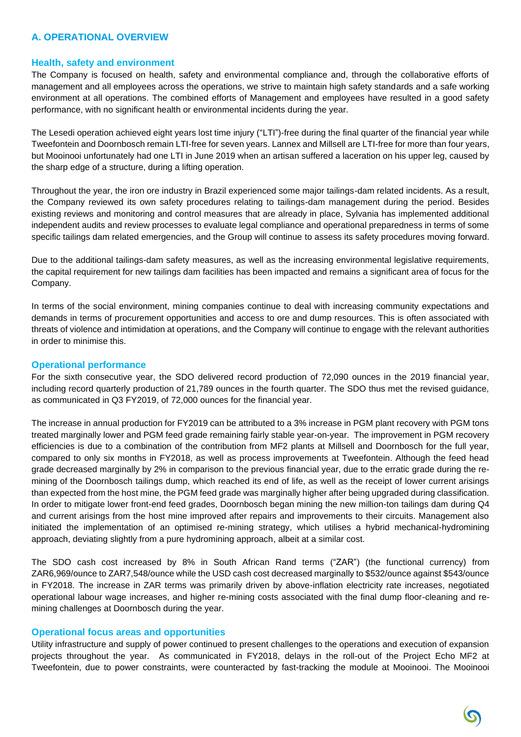# **A. OPERATIONAL OVERVIEW**

#### **Health, safety and environment**

The Company is focused on health, safety and environmental compliance and, through the collaborative efforts of management and all employees across the operations, we strive to maintain high safety standards and a safe working environment at all operations. The combined efforts of Management and employees have resulted in a good safety performance, with no significant health or environmental incidents during the year.

The Lesedi operation achieved eight years lost time injury ("LTI")-free during the final quarter of the financial year while Tweefontein and Doornbosch remain LTI-free for seven years. Lannex and Millsell are LTI-free for more than four years, but Mooinooi unfortunately had one LTI in June 2019 when an artisan suffered a laceration on his upper leg, caused by the sharp edge of a structure, during a lifting operation.

Throughout the year, the iron ore industry in Brazil experienced some major tailings-dam related incidents. As a result, the Company reviewed its own safety procedures relating to tailings-dam management during the period. Besides existing reviews and monitoring and control measures that are already in place, Sylvania has implemented additional independent audits and review processes to evaluate legal compliance and operational preparedness in terms of some specific tailings dam related emergencies, and the Group will continue to assess its safety procedures moving forward.

Due to the additional tailings-dam safety measures, as well as the increasing environmental legislative requirements, the capital requirement for new tailings dam facilities has been impacted and remains a significant area of focus for the Company.

In terms of the social environment, mining companies continue to deal with increasing community expectations and demands in terms of procurement opportunities and access to ore and dump resources. This is often associated with threats of violence and intimidation at operations, and the Company will continue to engage with the relevant authorities in order to minimise this.

#### **Operational performance**

For the sixth consecutive year, the SDO delivered record production of 72,090 ounces in the 2019 financial year, including record quarterly production of 21,789 ounces in the fourth quarter. The SDO thus met the revised guidance, as communicated in Q3 FY2019, of 72,000 ounces for the financial year.

The increase in annual production for FY2019 can be attributed to a 3% increase in PGM plant recovery with PGM tons treated marginally lower and PGM feed grade remaining fairly stable year-on-year. The improvement in PGM recovery efficiencies is due to a combination of the contribution from MF2 plants at Millsell and Doornbosch for the full year, compared to only six months in FY2018, as well as process improvements at Tweefontein. Although the feed head grade decreased marginally by 2% in comparison to the previous financial year, due to the erratic grade during the remining of the Doornbosch tailings dump, which reached its end of life, as well as the receipt of lower current arisings than expected from the host mine, the PGM feed grade was marginally higher after being upgraded during classification. In order to mitigate lower front-end feed grades, Doornbosch began mining the new million-ton tailings dam during Q4 and current arisings from the host mine improved after repairs and improvements to their circuits. Management also initiated the implementation of an optimised re-mining strategy, which utilises a hybrid mechanical-hydromining approach, deviating slightly from a pure hydromining approach, albeit at a similar cost.

The SDO cash cost increased by 8% in South African Rand terms ("ZAR") (the functional currency) from ZAR6,969/ounce to ZAR7,548/ounce while the USD cash cost decreased marginally to \$532/ounce against \$543/ounce in FY2018. The increase in ZAR terms was primarily driven by above-inflation electricity rate increases, negotiated operational labour wage increases, and higher re-mining costs associated with the final dump floor-cleaning and remining challenges at Doornbosch during the year.

#### **Operational focus areas and opportunities**

Utility infrastructure and supply of power continued to present challenges to the operations and execution of expansion projects throughout the year. As communicated in FY2018, delays in the roll-out of the Project Echo MF2 at Tweefontein, due to power constraints, were counteracted by fast-tracking the module at Mooinooi. The Mooinooi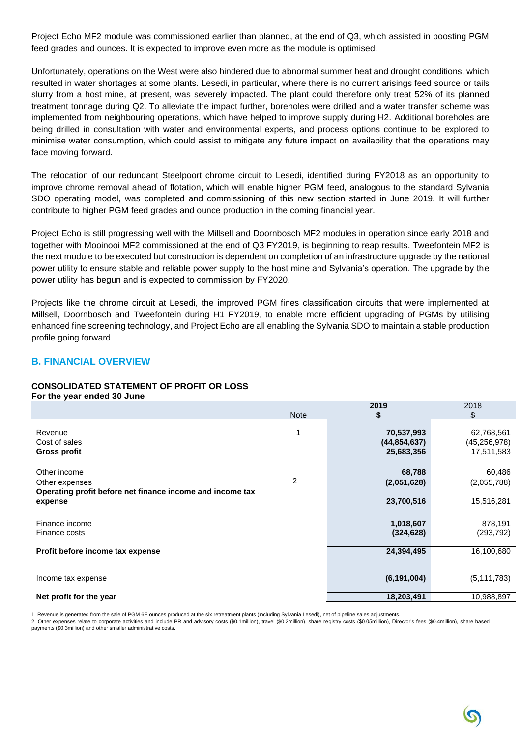Project Echo MF2 module was commissioned earlier than planned, at the end of Q3, which assisted in boosting PGM feed grades and ounces. It is expected to improve even more as the module is optimised.

Unfortunately, operations on the West were also hindered due to abnormal summer heat and drought conditions, which resulted in water shortages at some plants. Lesedi, in particular, where there is no current arisings feed source or tails slurry from a host mine, at present, was severely impacted. The plant could therefore only treat 52% of its planned treatment tonnage during Q2. To alleviate the impact further, boreholes were drilled and a water transfer scheme was implemented from neighbouring operations, which have helped to improve supply during H2. Additional boreholes are being drilled in consultation with water and environmental experts, and process options continue to be explored to minimise water consumption, which could assist to mitigate any future impact on availability that the operations may face moving forward.

The relocation of our redundant Steelpoort chrome circuit to Lesedi, identified during FY2018 as an opportunity to improve chrome removal ahead of flotation, which will enable higher PGM feed, analogous to the standard Sylvania SDO operating model, was completed and commissioning of this new section started in June 2019. It will further contribute to higher PGM feed grades and ounce production in the coming financial year.

Project Echo is still progressing well with the Millsell and Doornbosch MF2 modules in operation since early 2018 and together with Mooinooi MF2 commissioned at the end of Q3 FY2019, is beginning to reap results. Tweefontein MF2 is the next module to be executed but construction is dependent on completion of an infrastructure upgrade by the national power utility to ensure stable and reliable power supply to the host mine and Sylvania's operation. The upgrade by the power utility has begun and is expected to commission by FY2020.

Projects like the chrome circuit at Lesedi, the improved PGM fines classification circuits that were implemented at Millsell, Doornbosch and Tweefontein during H1 FY2019, to enable more efficient upgrading of PGMs by utilising enhanced fine screening technology, and Project Echo are all enabling the Sylvania SDO to maintain a stable production profile going forward.

### **B. FINANCIAL OVERVIEW**

# **CONSOLIDATED STATEMENT OF PROFIT OR LOSS**

| For the year ended 30 June                                                                             |             |                                            |                                            |
|--------------------------------------------------------------------------------------------------------|-------------|--------------------------------------------|--------------------------------------------|
|                                                                                                        | <b>Note</b> | 2019<br>\$                                 | 2018<br>\$                                 |
| Revenue<br>Cost of sales<br><b>Gross profit</b>                                                        | 1           | 70,537,993<br>(44, 854, 637)<br>25,683,356 | 62,768,561<br>(45, 256, 978)<br>17,511,583 |
| Other income<br>Other expenses<br>Operating profit before net finance income and income tax<br>expense | 2           | 68,788<br>(2,051,628)<br>23,700,516        | 60,486<br>(2,055,788)<br>15,516,281        |
| Finance income<br>Finance costs                                                                        |             | 1,018,607<br>(324, 628)                    | 878,191<br>(293, 792)                      |
| Profit before income tax expense                                                                       |             | 24,394,495                                 | 16,100,680                                 |
| Income tax expense                                                                                     |             | (6, 191, 004)                              | (5, 111, 783)                              |
| Net profit for the year                                                                                |             | 18,203,491                                 | 10,988,897                                 |
|                                                                                                        |             |                                            |                                            |

1. Revenue is generated from the sale of PGM 6E ounces produced at the six retreatment plants (including Sylvania Lesedi), net of pipeline sales adjustments.

2. Other expenses relate to corporate activities and include PR and advisory costs (\$0.1million), travel (\$0.2million), share registry costs (\$0.05million), Director's fees (\$0.4million), share based payments (\$0.3million) and other smaller administrative costs.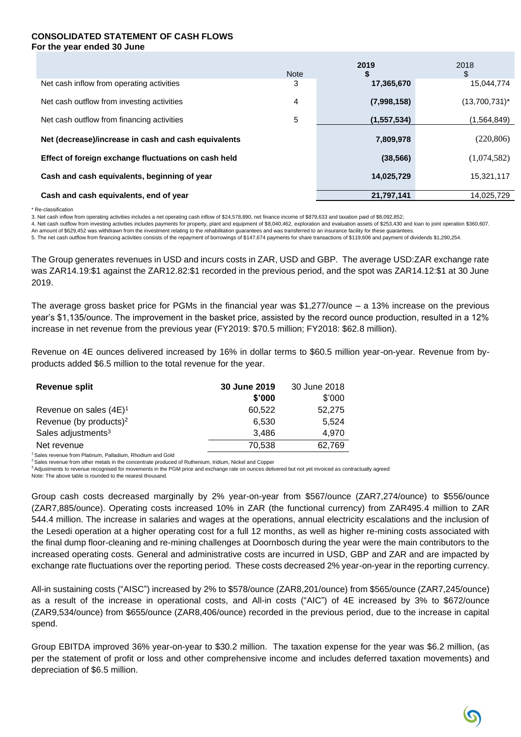#### **CONSOLIDATED STATEMENT OF CASH FLOWS For the year ended 30 June**

|                                                      | <b>Note</b> | 2019<br>\$    | 2018<br>\$       |
|------------------------------------------------------|-------------|---------------|------------------|
| Net cash inflow from operating activities            | 3           | 17,365,670    | 15,044,774       |
| Net cash outflow from investing activities           | 4           | (7,998,158)   | $(13,700,731)^*$ |
| Net cash outflow from financing activities           | 5           | (1, 557, 534) | (1,564,849)      |
| Net (decrease)/increase in cash and cash equivalents | 7,809,978   | (220, 806)    |                  |
| Effect of foreign exchange fluctuations on cash held |             | (38, 566)     | (1,074,582)      |
| Cash and cash equivalents, beginning of year         |             | 14,025,729    | 15,321,117       |
| Cash and cash equivalents, end of year               |             | 21,797,141    | 14.025.729       |

\* Re-classification

3. Net cash inflow from operating activities includes a net operating cash inflow of \$24,578,890, net finance income of \$879,633 and taxation paid of \$8,092,852;

4. Net cash outflow from investing activities includes payments for property, plant and equipment of \$8,040,462, exploration and evaluation assets of \$253,430 and loan to joint operation \$360,607.

An amount of \$629,452 was withdrawn from the investment relating to the rehabilitation guarantees and was transferred to an insurance facility for these guarantee

5. The net cash outflow from financing activities consists of the repayment of borrowings of \$147,674 payments for share transactions of \$119,606 and payment of dividends \$1,290,254.

The Group generates revenues in USD and incurs costs in ZAR, USD and GBP. The average USD:ZAR exchange rate was ZAR14.19:\$1 against the ZAR12.82:\$1 recorded in the previous period, and the spot was ZAR14.12:\$1 at 30 June 2019.

The average gross basket price for PGMs in the financial year was \$1,277/ounce – a 13% increase on the previous year's \$1,135/ounce. The improvement in the basket price, assisted by the record ounce production, resulted in a 12% increase in net revenue from the previous year (FY2019: \$70.5 million; FY2018: \$62.8 million).

Revenue on 4E ounces delivered increased by 16% in dollar terms to \$60.5 million year-on-year. Revenue from byproducts added \$6.5 million to the total revenue for the year.

| Revenue split                      | 30 June 2019 | 30 June 2018 |
|------------------------------------|--------------|--------------|
|                                    | \$'000       | \$'000       |
| Revenue on sales $(4E)^1$          | 60.522       | 52.275       |
| Revenue (by products) <sup>2</sup> | 6.530        | 5.524        |
| Sales adjustments <sup>3</sup>     | 3.486        | 4.970        |
| Net revenue                        | 70,538       | 62,769       |

<sup>1</sup> Sales revenue from Platinum, Palladium, Rhodium and Gold

<sup>2</sup> Sales revenue from other metals in the concentrate produced of Ruthenium, Iridium, Nickel and Copper

<sup>3</sup> Adjustments to revenue recognised for movements in the PGM price and exchange rate on ounces delivered but not yet invoiced as contractually agreed Note: The above table is rounded to the nearest thousand.

Group cash costs decreased marginally by 2% year-on-year from \$567/ounce (ZAR7,274/ounce) to \$556/ounce (ZAR7,885/ounce). Operating costs increased 10% in ZAR (the functional currency) from ZAR495.4 million to ZAR 544.4 million. The increase in salaries and wages at the operations, annual electricity escalations and the inclusion of the Lesedi operation at a higher operating cost for a full 12 months, as well as higher re-mining costs associated with the final dump floor-cleaning and re-mining challenges at Doornbosch during the year were the main contributors to the increased operating costs. General and administrative costs are incurred in USD, GBP and ZAR and are impacted by exchange rate fluctuations over the reporting period. These costs decreased 2% year-on-year in the reporting currency.

All-in sustaining costs ("AISC") increased by 2% to \$578/ounce (ZAR8,201/ounce) from \$565/ounce (ZAR7,245/ounce) as a result of the increase in operational costs, and All-in costs ("AIC") of 4E increased by 3% to \$672/ounce (ZAR9,534/ounce) from \$655/ounce (ZAR8,406/ounce) recorded in the previous period, due to the increase in capital spend.

Group EBITDA improved 36% year-on-year to \$30.2 million. The taxation expense for the year was \$6.2 million, (as per the statement of profit or loss and other comprehensive income and includes deferred taxation movements) and depreciation of \$6.5 million.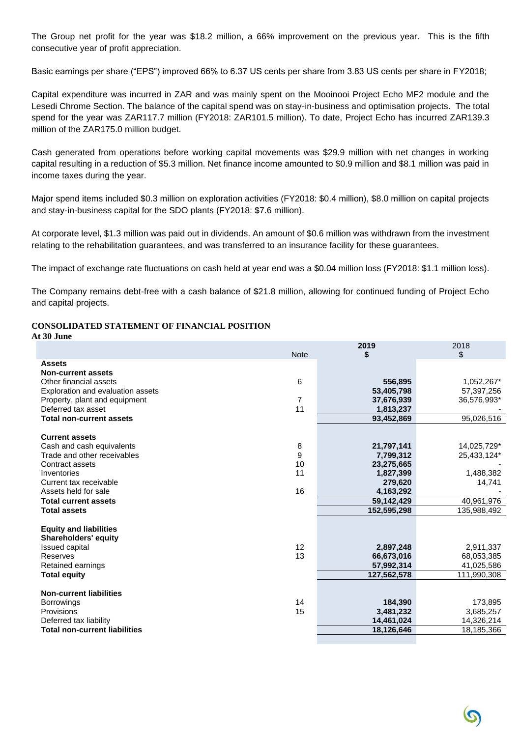The Group net profit for the year was \$18.2 million, a 66% improvement on the previous year. This is the fifth consecutive year of profit appreciation.

Basic earnings per share ("EPS") improved 66% to 6.37 US cents per share from 3.83 US cents per share in FY2018;

Capital expenditure was incurred in ZAR and was mainly spent on the Mooinooi Project Echo MF2 module and the Lesedi Chrome Section. The balance of the capital spend was on stay-in-business and optimisation projects. The total spend for the year was ZAR117.7 million (FY2018: ZAR101.5 million). To date, Project Echo has incurred ZAR139.3 million of the ZAR175.0 million budget.

Cash generated from operations before working capital movements was \$29.9 million with net changes in working capital resulting in a reduction of \$5.3 million. Net finance income amounted to \$0.9 million and \$8.1 million was paid in income taxes during the year.

Major spend items included \$0.3 million on exploration activities (FY2018: \$0.4 million), \$8.0 million on capital projects and stay-in-business capital for the SDO plants (FY2018: \$7.6 million).

At corporate level, \$1.3 million was paid out in dividends. An amount of \$0.6 million was withdrawn from the investment relating to the rehabilitation guarantees, and was transferred to an insurance facility for these guarantees.

The impact of exchange rate fluctuations on cash held at year end was a \$0.04 million loss (FY2018: \$1.1 million loss).

The Company remains debt-free with a cash balance of \$21.8 million, allowing for continued funding of Project Echo and capital projects.

# **CONSOLIDATED STATEMENT OF FINANCIAL POSITION**

| At 30 June                               |                |             |             |
|------------------------------------------|----------------|-------------|-------------|
|                                          | <b>Note</b>    | 2019<br>\$  | 2018<br>\$  |
| <b>Assets</b>                            |                |             |             |
| <b>Non-current assets</b>                |                |             |             |
| Other financial assets                   | 6              | 556,895     | 1,052,267*  |
| <b>Exploration and evaluation assets</b> |                | 53,405,798  | 57,397,256  |
| Property, plant and equipment            | $\overline{7}$ | 37,676,939  | 36,576,993* |
| Deferred tax asset                       | 11             | 1,813,237   |             |
| <b>Total non-current assets</b>          |                | 93,452,869  | 95,026,516  |
| <b>Current assets</b>                    |                |             |             |
| Cash and cash equivalents                | 8              | 21,797,141  | 14,025,729* |
| Trade and other receivables              | 9              | 7,799,312   | 25,433,124* |
| Contract assets                          | 10             | 23,275,665  |             |
| Inventories                              | 11             | 1,827,399   | 1,488,382   |
| Current tax receivable                   |                | 279,620     | 14,741      |
| Assets held for sale                     | 16             | 4,163,292   |             |
| <b>Total current assets</b>              |                | 59,142,429  | 40,961,976  |
| <b>Total assets</b>                      |                | 152,595,298 | 135,988,492 |
| <b>Equity and liabilities</b>            |                |             |             |
| <b>Shareholders' equity</b>              |                |             |             |
| <b>Issued capital</b>                    | 12             | 2,897,248   | 2,911,337   |
| Reserves                                 | 13             | 66,673,016  | 68,053,385  |
| Retained earnings                        |                | 57,992,314  | 41,025,586  |
| <b>Total equity</b>                      |                | 127,562,578 | 111,990,308 |
| <b>Non-current liabilities</b>           |                |             |             |
| <b>Borrowings</b>                        | 14             | 184,390     | 173,895     |
| Provisions                               | 15             | 3,481,232   | 3,685,257   |
| Deferred tax liability                   |                | 14,461,024  | 14,326,214  |
| <b>Total non-current liabilities</b>     |                | 18,126,646  | 18,185,366  |
|                                          |                |             |             |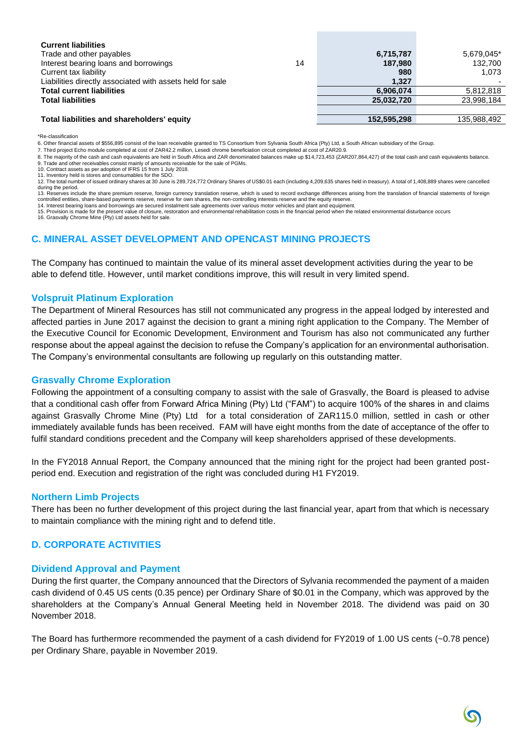| <b>Current liabilities</b>                                |    |             |             |
|-----------------------------------------------------------|----|-------------|-------------|
| Trade and other payables                                  |    | 6,715,787   | 5,679,045*  |
| Interest bearing loans and borrowings                     | 14 | 187,980     | 132,700     |
| Current tax liability                                     |    | 980         | 1.073       |
| Liabilities directly associated with assets held for sale |    | 1.327       |             |
| <b>Total current liabilities</b>                          |    | 6,906,074   | 5.812.818   |
| <b>Total liabilities</b>                                  |    | 25,032,720  | 23,998,184  |
|                                                           |    |             |             |
| Total liabilities and shareholders' equity                |    | 152,595,298 | 135,988,492 |

\*Re-classification

6. Other financial assets of \$556,895 consist of the loan receivable granted to TS Consortium from Sylvania South Africa (Pty) Ltd, a South African subsidiary of the Group.

7. Third project Echo module completed at cost of ZAR42.2 million, Lesedi chrome beneficiation circuit completed at cost of ZAR20.9.

8. The majority of the cash and cash equivalents are held in South Africa and ZAR denominated balances make up \$14,723,453 (ZAR207,864,427) of the total cash and cash equivalents balance. 9. Trade and other receivables consist mainly of amounts receivable for the sale of PGMs. 10. Contract assets as per adoption of IFRS 15 from 1 July 2018.

11. Inventory held is stores and consumables for the SDO.

12. The total number of issued ordinary shares at 30 June is 289,724,772 Ordinary Shares of US\$0.01 each (including 4,209,635 shares held in treasury). A total of 1,408,889 shares were cancelled during the period.

13. Reserves include the share premium reserve, foreign currency translation reserve, which is used to record exchange differences arising from the translation of financial statements of foreign controlled entities, share-based payments reserve, reserve for own shares, the non-controlling interests reserve and the equity reserve.

14. Interest bearing loans and borrowings are secured instalment sale agreements over various motor vehicles and plant and equipment. 15. Provision is made for the present value of closure, restoration and environmental rehabilitation costs in the financial period when the related environmental disturbance occurs

16. Grasvally Chrome Mine (Pty) Ltd assets held for sale.

# **C. MINERAL ASSET DEVELOPMENT AND OPENCAST MINING PROJECTS**

The Company has continued to maintain the value of its mineral asset development activities during the year to be able to defend title. However, until market conditions improve, this will result in very limited spend.

### **Volspruit Platinum Exploration**

The Department of Mineral Resources has still not communicated any progress in the appeal lodged by interested and affected parties in June 2017 against the decision to grant a mining right application to the Company. The Member of the Executive Council for Economic Development, Environment and Tourism has also not communicated any further response about the appeal against the decision to refuse the Company's application for an environmental authorisation. The Company's environmental consultants are following up regularly on this outstanding matter.

#### **Grasvally Chrome Exploration**

Following the appointment of a consulting company to assist with the sale of Grasvally, the Board is pleased to advise that a conditional cash offer from Forward Africa Mining (Pty) Ltd ("FAM") to acquire 100% of the shares in and claims against Grasvally Chrome Mine (Pty) Ltd for a total consideration of ZAR115.0 million, settled in cash or other immediately available funds has been received. FAM will have eight months from the date of acceptance of the offer to fulfil standard conditions precedent and the Company will keep shareholders apprised of these developments.

In the FY2018 Annual Report, the Company announced that the mining right for the project had been granted postperiod end. Execution and registration of the right was concluded during H1 FY2019.

#### **Northern Limb Projects**

There has been no further development of this project during the last financial year, apart from that which is necessary to maintain compliance with the mining right and to defend title.

# **D. CORPORATE ACTIVITIES**

#### **Dividend Approval and Payment**

During the first quarter, the Company announced that the Directors of Sylvania recommended the payment of a maiden cash dividend of 0.45 US cents (0.35 pence) per Ordinary Share of \$0.01 in the Company, which was approved by the shareholders at the Company's Annual General Meeting held in November 2018. The dividend was paid on 30 November 2018.

The Board has furthermore recommended the payment of a cash dividend for FY2019 of 1.00 US cents (~0.78 pence) per Ordinary Share, payable in November 2019.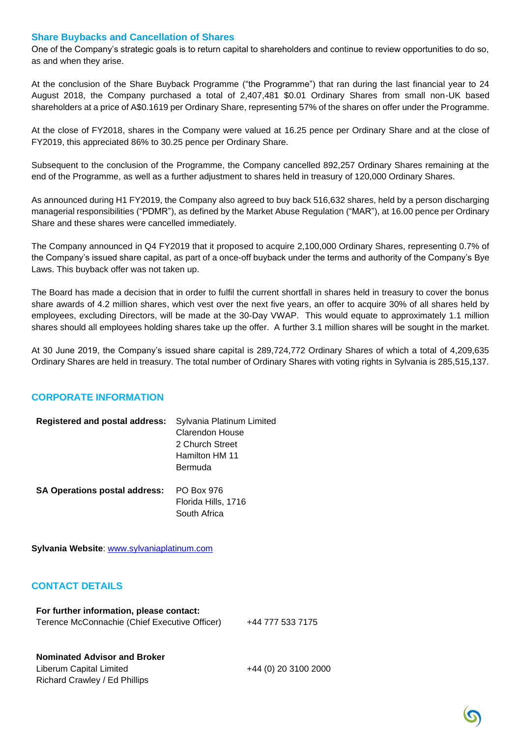#### **Share Buybacks and Cancellation of Shares**

One of the Company's strategic goals is to return capital to shareholders and continue to review opportunities to do so, as and when they arise.

At the conclusion of the Share Buyback Programme ("the Programme") that ran during the last financial year to 24 August 2018, the Company purchased a total of 2,407,481 \$0.01 Ordinary Shares from small non-UK based shareholders at a price of A\$0.1619 per Ordinary Share, representing 57% of the shares on offer under the Programme.

At the close of FY2018, shares in the Company were valued at 16.25 pence per Ordinary Share and at the close of FY2019, this appreciated 86% to 30.25 pence per Ordinary Share.

Subsequent to the conclusion of the Programme, the Company cancelled 892,257 Ordinary Shares remaining at the end of the Programme, as well as a further adjustment to shares held in treasury of 120,000 Ordinary Shares.

As announced during H1 FY2019, the Company also agreed to buy back 516,632 shares, held by a person discharging managerial responsibilities ("PDMR"), as defined by the Market Abuse Regulation ("MAR"), at 16.00 pence per Ordinary Share and these shares were cancelled immediately.

The Company announced in Q4 FY2019 that it proposed to acquire 2,100,000 Ordinary Shares, representing 0.7% of the Company's issued share capital, as part of a once-off buyback under the terms and authority of the Company's Bye Laws. This buyback offer was not taken up.

The Board has made a decision that in order to fulfil the current shortfall in shares held in treasury to cover the bonus share awards of 4.2 million shares, which vest over the next five years, an offer to acquire 30% of all shares held by employees, excluding Directors, will be made at the 30-Day VWAP. This would equate to approximately 1.1 million shares should all employees holding shares take up the offer. A further 3.1 million shares will be sought in the market.

At 30 June 2019, the Company's issued share capital is 289,724,772 Ordinary Shares of which a total of 4,209,635 Ordinary Shares are held in treasury. The total number of Ordinary Shares with voting rights in Sylvania is 285,515,137.

# **CORPORATE INFORMATION**

| <b>Registered and postal address:</b> | Sylvania Platinum Limited |
|---------------------------------------|---------------------------|
|                                       | <b>Clarendon House</b>    |
|                                       | 2 Church Street           |
|                                       | Hamilton HM 11            |
|                                       | Bermuda                   |
| <b>SA Operations postal address:</b>  | PO Box 976                |
|                                       | Florida Hills, 1716       |
|                                       | South Africa              |

**Sylvania Website**: [www.sylvaniaplatinum.com](http://www.sylvaniaplatinum.com/)

# **CONTACT DETAILS**

#### **For further information, please contact:**

Terence McConnachie (Chief Executive Officer) +44 777 533 7175

#### **Nominated Advisor and Broker**

Liberum Capital Limited +44 (0) 20 3100 2000 Richard Crawley / Ed Phillips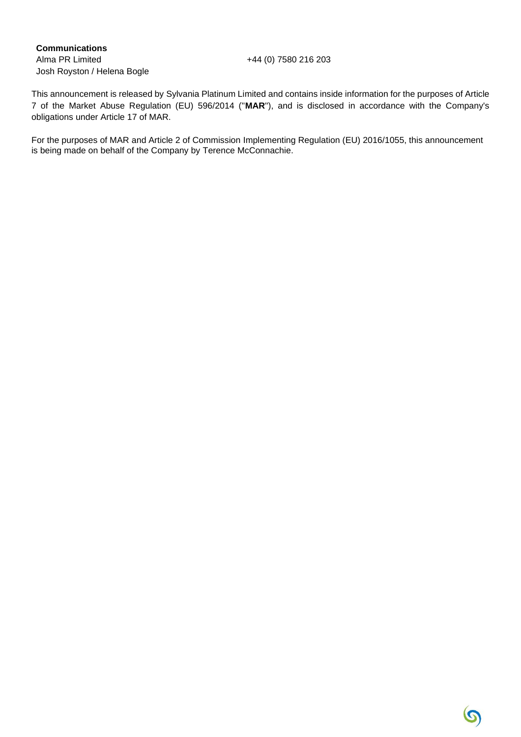# **Communications**

Alma PR Limited +44 (0) 7580 216 203 Josh Royston / Helena Bogle

This announcement is released by Sylvania Platinum Limited and contains inside information for the purposes of Article 7 of the Market Abuse Regulation (EU) 596/2014 ("**MAR**"), and is disclosed in accordance with the Company's obligations under Article 17 of MAR.

For the purposes of MAR and Article 2 of Commission Implementing Regulation (EU) 2016/1055, this announcement is being made on behalf of the Company by Terence McConnachie.